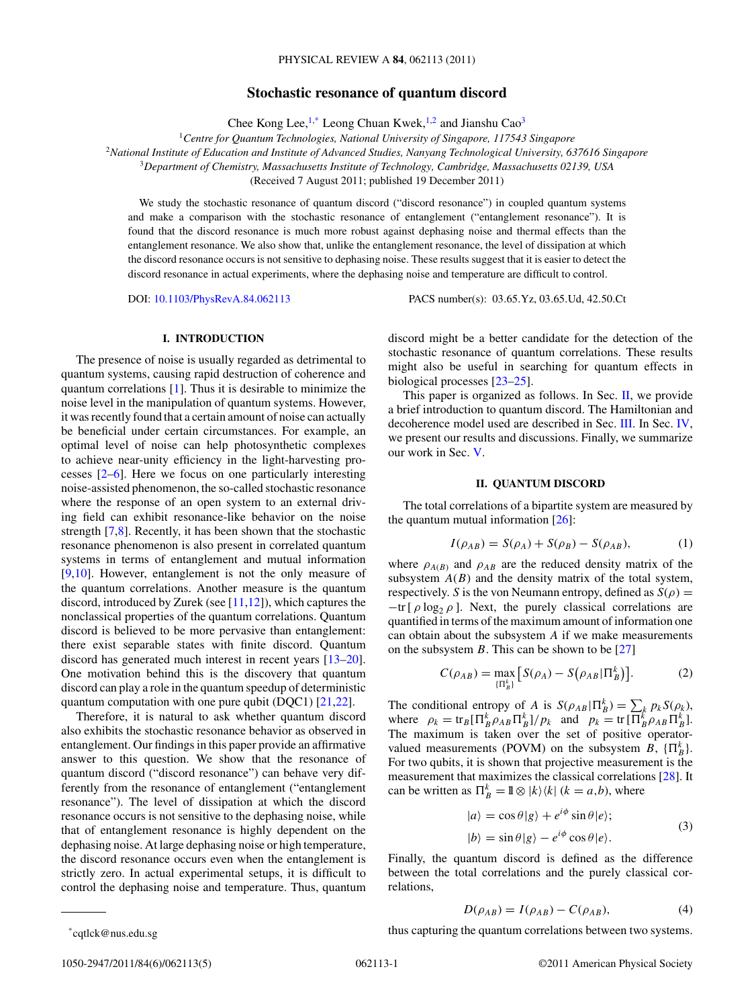# **Stochastic resonance of quantum discord**

Chee Kong Lee, $1$ <sup>\*</sup> Leong Chuan Kwek, $1/2$  and Jianshu Cao<sup>3</sup>

<sup>1</sup>*Centre for Quantum Technologies, National University of Singapore, 117543 Singapore*

<sup>2</sup>*National Institute of Education and Institute of Advanced Studies, Nanyang Technological University, 637616 Singapore*

<sup>3</sup>*Department of Chemistry, Massachusetts Institute of Technology, Cambridge, Massachusetts 02139, USA*

(Received 7 August 2011; published 19 December 2011)

We study the stochastic resonance of quantum discord ("discord resonance") in coupled quantum systems and make a comparison with the stochastic resonance of entanglement ("entanglement resonance"). It is found that the discord resonance is much more robust against dephasing noise and thermal effects than the entanglement resonance. We also show that, unlike the entanglement resonance, the level of dissipation at which the discord resonance occurs is not sensitive to dephasing noise. These results suggest that it is easier to detect the discord resonance in actual experiments, where the dephasing noise and temperature are difficult to control.

DOI: [10.1103/PhysRevA.84.062113](http://dx.doi.org/10.1103/PhysRevA.84.062113) PACS number(s): 03*.*65*.*Yz, 03*.*65*.*Ud, 42*.*50*.*Ct

### **I. INTRODUCTION**

The presence of noise is usually regarded as detrimental to quantum systems, causing rapid destruction of coherence and quantum correlations [\[1\]](#page-3-0). Thus it is desirable to minimize the noise level in the manipulation of quantum systems. However, it was recently found that a certain amount of noise can actually be beneficial under certain circumstances. For example, an optimal level of noise can help photosynthetic complexes to achieve near-unity efficiency in the light-harvesting processes [\[2](#page-3-0)[–6\]](#page-4-0). Here we focus on one particularly interesting noise-assisted phenomenon, the so-called stochastic resonance where the response of an open system to an external driving field can exhibit resonance-like behavior on the noise strength [\[7,8\]](#page-4-0). Recently, it has been shown that the stochastic resonance phenomenon is also present in correlated quantum systems in terms of entanglement and mutual information [\[9,10\]](#page-4-0). However, entanglement is not the only measure of the quantum correlations. Another measure is the quantum discord, introduced by Zurek (see  $[11,12]$ ), which captures the nonclassical properties of the quantum correlations. Quantum discord is believed to be more pervasive than entanglement: there exist separable states with finite discord. Quantum discord has generated much interest in recent years [\[13–20\]](#page-4-0). One motivation behind this is the discovery that quantum discord can play a role in the quantum speedup of deterministic quantum computation with one pure qubit (DQC1) [\[21,22\]](#page-4-0).

Therefore, it is natural to ask whether quantum discord also exhibits the stochastic resonance behavior as observed in entanglement. Our findings in this paper provide an affirmative answer to this question. We show that the resonance of quantum discord ("discord resonance") can behave very differently from the resonance of entanglement ("entanglement resonance"). The level of dissipation at which the discord resonance occurs is not sensitive to the dephasing noise, while that of entanglement resonance is highly dependent on the dephasing noise. At large dephasing noise or high temperature, the discord resonance occurs even when the entanglement is strictly zero. In actual experimental setups, it is difficult to control the dephasing noise and temperature. Thus, quantum

discord might be a better candidate for the detection of the stochastic resonance of quantum correlations. These results might also be useful in searching for quantum effects in biological processes [\[23–25\]](#page-4-0).

This paper is organized as follows. In Sec. II, we provide a brief introduction to quantum discord. The Hamiltonian and decoherence model used are described in Sec. [III.](#page-1-0) In Sec. [IV,](#page-1-0) we present our results and discussions. Finally, we summarize our work in Sec. [V.](#page-3-0)

## **II. QUANTUM DISCORD**

The total correlations of a bipartite system are measured by the quantum mutual information [\[26\]](#page-4-0):

$$
I(\rho_{AB}) = S(\rho_A) + S(\rho_B) - S(\rho_{AB}),
$$
 (1)

where  $\rho_{A(B)}$  and  $\rho_{AB}$  are the reduced density matrix of the subsystem  $A(B)$  and the density matrix of the total system, respectively. *S* is the von Neumann entropy, defined as  $S(\rho)$  =  $-\text{tr}$  [  $\rho$  log<sub>2</sub>  $\rho$  ]. Next, the purely classical correlations are quantified in terms of the maximum amount of information one can obtain about the subsystem *A* if we make measurements on the subsystem  $B$ . This can be shown to be [\[27\]](#page-4-0)

$$
C(\rho_{AB}) = \max_{\{\Pi_B^k\}} \left[ S(\rho_A) - S(\rho_{AB} | \Pi_B^k) \right].
$$
 (2)

The conditional entropy of *A* is  $S(\rho_{AB} | \Pi_B^k) = \sum_k p_k S(\rho_k)$ , where  $\rho_k = \text{tr}_B[\Pi_B^k \rho_{AB} \Pi_B^k]/p_k$  and  $p_k = \text{tr}[\Pi_B^k \rho_{AB} \Pi_B^k]$ . The maximum is taken over the set of positive operatorvalued measurements (POVM) on the subsystem *B*,  $\{\Pi_B^k\}$ . For two qubits, it is shown that projective measurement is the measurement that maximizes the classical correlations [\[28\]](#page-4-0). It can be written as  $\prod_{B}^{k} = \mathbb{I} \otimes |k\rangle \langle k|$  ( $k = a, b$ ), where

$$
|a\rangle = \cos\theta|g\rangle + e^{i\phi}\sin\theta|e\rangle;
$$
  

$$
|b\rangle = \sin\theta|g\rangle - e^{i\phi}\cos\theta|e\rangle.
$$
 (3)

Finally, the quantum discord is defined as the difference between the total correlations and the purely classical correlations,

$$
D(\rho_{AB}) = I(\rho_{AB}) - C(\rho_{AB}), \qquad (4)
$$

thus capturing the quantum correlations between two systems.

<sup>\*</sup>cqtlck@nus.edu.sg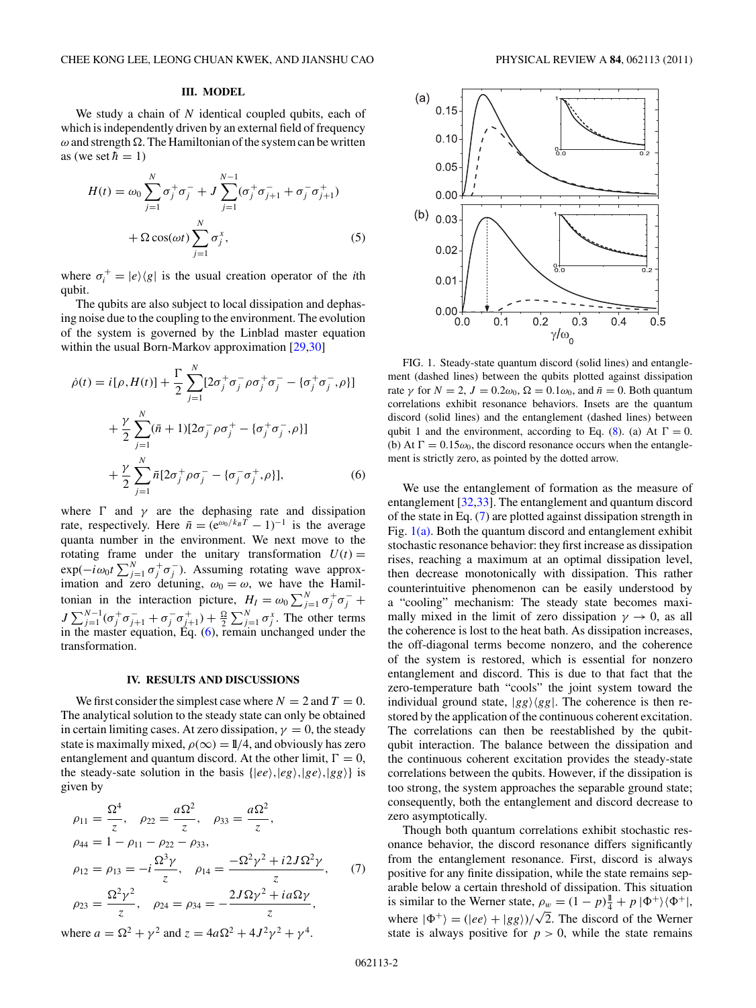## **III. MODEL**

<span id="page-1-0"></span>We study a chain of *N* identical coupled qubits, each of which is independently driven by an external field of frequency  $\omega$  and strength  $\Omega$ . The Hamiltonian of the system can be written as (we set  $\hbar = 1$ )

$$
H(t) = \omega_0 \sum_{j=1}^{N} \sigma_j^+ \sigma_j^- + J \sum_{j=1}^{N-1} (\sigma_j^+ \sigma_{j+1}^- + \sigma_j^- \sigma_{j+1}^+)
$$
  
+  $\Omega \cos(\omega t) \sum_{j=1}^{N} \sigma_j^x$ , (5)

where  $\sigma_i^+ = |e\rangle\langle g|$  is the usual creation operator of the *i*th qubit.

The qubits are also subject to local dissipation and dephasing noise due to the coupling to the environment. The evolution of the system is governed by the Linblad master equation within the usual Born-Markov approximation [\[29,30\]](#page-4-0)

$$
\dot{\rho}(t) = i[\rho, H(t)] + \frac{\Gamma}{2} \sum_{j=1}^{N} [2\sigma_j^+ \sigma_j^- \rho \sigma_j^+ \sigma_j^- - \{\sigma_j^+ \sigma_j^-, \rho\}]
$$
  
+ 
$$
\frac{\gamma}{2} \sum_{j=1}^{N} (\bar{n} + 1)[2\sigma_j^- \rho \sigma_j^+ - \{\sigma_j^+ \sigma_j^-, \rho\}]
$$
  
+ 
$$
\frac{\gamma}{2} \sum_{j=1}^{N} \bar{n} [2\sigma_j^+ \rho \sigma_j^- - \{\sigma_j^- \sigma_j^+, \rho\}],
$$
(6)

where  $\Gamma$  and  $\gamma$  are the dephasing rate and dissipation rate, respectively. Here  $\bar{n} = (e^{\omega_0/k_B T} - 1)^{-1}$  is the average quanta number in the environment. We next move to the rotating frame under the unitary transformation  $U(t)$  =  $\exp(-i\omega_0 t \sum_{j=1}^N \sigma_j^+ \sigma_j^-)$ . Assuming rotating wave approximation and zero detuning,  $\omega_0 = \omega$ , we have the Hamiltonian in the interaction picture,  $H_I = \omega_0 \sum_{j=1}^{N} \sigma_j^+ \sigma_j^- +$ *J*  $\sum_{j=1}^{N-1} (\sigma_j^+ \sigma_{j+1}^- + \sigma_j^- \sigma_{j+1}^+) + \frac{\Omega}{2} \sum_{j=1}^{N} \sigma_j^x$ . The other terms in the master equation, Eq. (6), remain unchanged under the transformation.

### **IV. RESULTS AND DISCUSSIONS**

We first consider the simplest case where  $N = 2$  and  $T = 0$ . The analytical solution to the steady state can only be obtained in certain limiting cases. At zero dissipation,  $\gamma = 0$ , the steady state is maximally mixed,  $\rho(\infty) = 1/4$ , and obviously has zero entanglement and quantum discord. At the other limit,  $\Gamma = 0$ , the steady-sate solution in the basis  $\{ |ee\rangle, |eg\rangle, |ge\rangle, |gg\rangle \}$  is given by

$$
\rho_{11} = \frac{\Omega^4}{z}, \quad \rho_{22} = \frac{a\Omega^2}{z}, \quad \rho_{33} = \frac{a\Omega^2}{z},
$$
  
\n
$$
\rho_{44} = 1 - \rho_{11} - \rho_{22} - \rho_{33},
$$
  
\n
$$
\rho_{12} = \rho_{13} = -i\frac{\Omega^3 \gamma}{z}, \quad \rho_{14} = \frac{-\Omega^2 \gamma^2 + i2J\Omega^2 \gamma}{z}, \quad (7)
$$
  
\n
$$
\rho_{23} = \frac{\Omega^2 \gamma^2}{z}, \quad \rho_{24} = \rho_{34} = -\frac{2J\Omega \gamma^2 + ia\Omega \gamma}{z},
$$
  
\nwhere  $a = \Omega^2 + \gamma^2$  and  $z = 4a\Omega^2 + 4J^2\gamma^2 + \gamma^4$ .



FIG. 1. Steady-state quantum discord (solid lines) and entanglement (dashed lines) between the qubits plotted against dissipation rate  $\gamma$  for  $N = 2$ ,  $J = 0.2\omega_0$ ,  $\Omega = 0.1\omega_0$ , and  $\bar{n} = 0$ . Both quantum correlations exhibit resonance behaviors. Insets are the quantum discord (solid lines) and the entanglement (dashed lines) between qubit 1 and the environment, according to Eq. [\(8\)](#page-2-0). (a) At  $\Gamma = 0$ . (b) At  $\Gamma = 0.15\omega_0$ , the discord resonance occurs when the entanglement is strictly zero, as pointed by the dotted arrow.

We use the entanglement of formation as the measure of entanglement [\[32,33\]](#page-4-0). The entanglement and quantum discord of the state in Eq. (7) are plotted against dissipation strength in Fig.  $1(a)$ . Both the quantum discord and entanglement exhibit stochastic resonance behavior: they first increase as dissipation rises, reaching a maximum at an optimal dissipation level, then decrease monotonically with dissipation. This rather counterintuitive phenomenon can be easily understood by a "cooling" mechanism: The steady state becomes maximally mixed in the limit of zero dissipation  $\gamma \to 0$ , as all the coherence is lost to the heat bath. As dissipation increases, the off-diagonal terms become nonzero, and the coherence of the system is restored, which is essential for nonzero entanglement and discord. This is due to that fact that the zero-temperature bath "cools" the joint system toward the individual ground state,  $|gg\rangle\langle gg|$ . The coherence is then restored by the application of the continuous coherent excitation. The correlations can then be reestablished by the qubitqubit interaction. The balance between the dissipation and the continuous coherent excitation provides the steady-state correlations between the qubits. However, if the dissipation is too strong, the system approaches the separable ground state; consequently, both the entanglement and discord decrease to zero asymptotically.

Though both quantum correlations exhibit stochastic resonance behavior, the discord resonance differs significantly from the entanglement resonance. First, discord is always positive for any finite dissipation, while the state remains separable below a certain threshold of dissipation. This situation is similar to the Werner state,  $\rho_w = (1 - p)\frac{1}{4} + p |\Phi^+\rangle \langle \Phi^+|$ , where  $|\Phi^+\rangle = (|ee\rangle + |gg\rangle)/\sqrt{2}$ . The discord of the Werner state is always positive for  $p > 0$ , while the state remains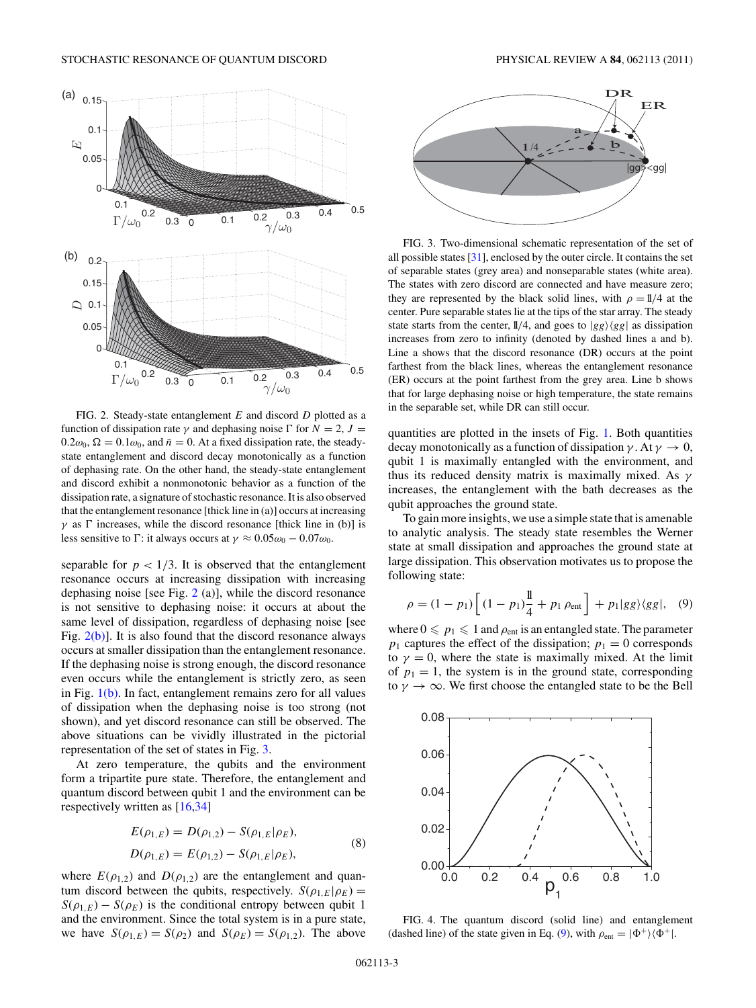<span id="page-2-0"></span>

FIG. 2. Steady-state entanglement *E* and discord *D* plotted as a function of dissipation rate  $\gamma$  and dephasing noise  $\Gamma$  for  $N = 2$ ,  $J =$  $0.2\omega_0$ ,  $\Omega = 0.1\omega_0$ , and  $\bar{n} = 0$ . At a fixed dissipation rate, the steadystate entanglement and discord decay monotonically as a function of dephasing rate. On the other hand, the steady-state entanglement and discord exhibit a nonmonotonic behavior as a function of the dissipation rate, a signature of stochastic resonance. It is also observed that the entanglement resonance [thick line in (a)] occurs at increasing *γ* as  $\Gamma$  increases, while the discord resonance [thick line in (b)] is less sensitive to  $\Gamma$ : it always occurs at  $\gamma \approx 0.05\omega_0 - 0.07\omega_0$ .

separable for  $p < 1/3$ . It is observed that the entanglement resonance occurs at increasing dissipation with increasing dephasing noise [see Fig. 2 (a)], while the discord resonance is not sensitive to dephasing noise: it occurs at about the same level of dissipation, regardless of dephasing noise [see Fig.  $2(b)$ ]. It is also found that the discord resonance always occurs at smaller dissipation than the entanglement resonance. If the dephasing noise is strong enough, the discord resonance even occurs while the entanglement is strictly zero, as seen in Fig. [1\(b\).](#page-1-0) In fact, entanglement remains zero for all values of dissipation when the dephasing noise is too strong (not shown), and yet discord resonance can still be observed. The above situations can be vividly illustrated in the pictorial representation of the set of states in Fig. 3.

At zero temperature, the qubits and the environment form a tripartite pure state. Therefore, the entanglement and quantum discord between qubit 1 and the environment can be respectively written as [\[16,34\]](#page-4-0)

$$
E(\rho_{1,E}) = D(\rho_{1,2}) - S(\rho_{1,E}|\rho_E),
$$
  
\n
$$
D(\rho_{1,E}) = E(\rho_{1,2}) - S(\rho_{1,E}|\rho_E),
$$
\n(8)

where  $E(\rho_{1,2})$  and  $D(\rho_{1,2})$  are the entanglement and quantum discord between the qubits, respectively.  $S(\rho_{1,E}|\rho_E)$  =  $S(\rho_{1,E}) - S(\rho_E)$  is the conditional entropy between qubit 1 and the environment. Since the total system is in a pure state, we have  $S(\rho_{1,E}) = S(\rho_2)$  and  $S(\rho_E) = S(\rho_{1,2})$ . The above



FIG. 3. Two-dimensional schematic representation of the set of all possible states [\[31\]](#page-4-0), enclosed by the outer circle. It contains the set of separable states (grey area) and nonseparable states (white area). The states with zero discord are connected and have measure zero; they are represented by the black solid lines, with  $\rho = 1/4$  at the center. Pure separable states lie at the tips of the star array. The steady state starts from the center,  $1/4$ , and goes to  $|gg\rangle\langle gg|$  as dissipation increases from zero to infinity (denoted by dashed lines a and b). Line a shows that the discord resonance (DR) occurs at the point farthest from the black lines, whereas the entanglement resonance (ER) occurs at the point farthest from the grey area. Line b shows that for large dephasing noise or high temperature, the state remains in the separable set, while DR can still occur.

quantities are plotted in the insets of Fig. [1.](#page-1-0) Both quantities decay monotonically as a function of dissipation  $\gamma$ . At  $\gamma \to 0$ , qubit 1 is maximally entangled with the environment, and thus its reduced density matrix is maximally mixed. As *γ* increases, the entanglement with the bath decreases as the qubit approaches the ground state.

To gain more insights, we use a simple state that is amenable to analytic analysis. The steady state resembles the Werner state at small dissipation and approaches the ground state at large dissipation. This observation motivates us to propose the following state:

$$
\rho = (1 - p_1) \left[ (1 - p_1) \frac{1}{4} + p_1 \rho_{\text{ent}} \right] + p_1 |gg\rangle\langle gg|, \quad (9)
$$

where  $0 \leqslant p_1 \leqslant 1$  and  $\rho_{ent}$  is an entangled state. The parameter  $p_1$  captures the effect of the dissipation;  $p_1 = 0$  corresponds to  $\gamma = 0$ , where the state is maximally mixed. At the limit of  $p_1 = 1$ , the system is in the ground state, corresponding to  $\gamma \to \infty$ . We first choose the entangled state to be the Bell



FIG. 4. The quantum discord (solid line) and entanglement (dashed line) of the state given in Eq. (9), with  $\rho_{ent} = |\Phi^+\rangle\langle\Phi^+|$ .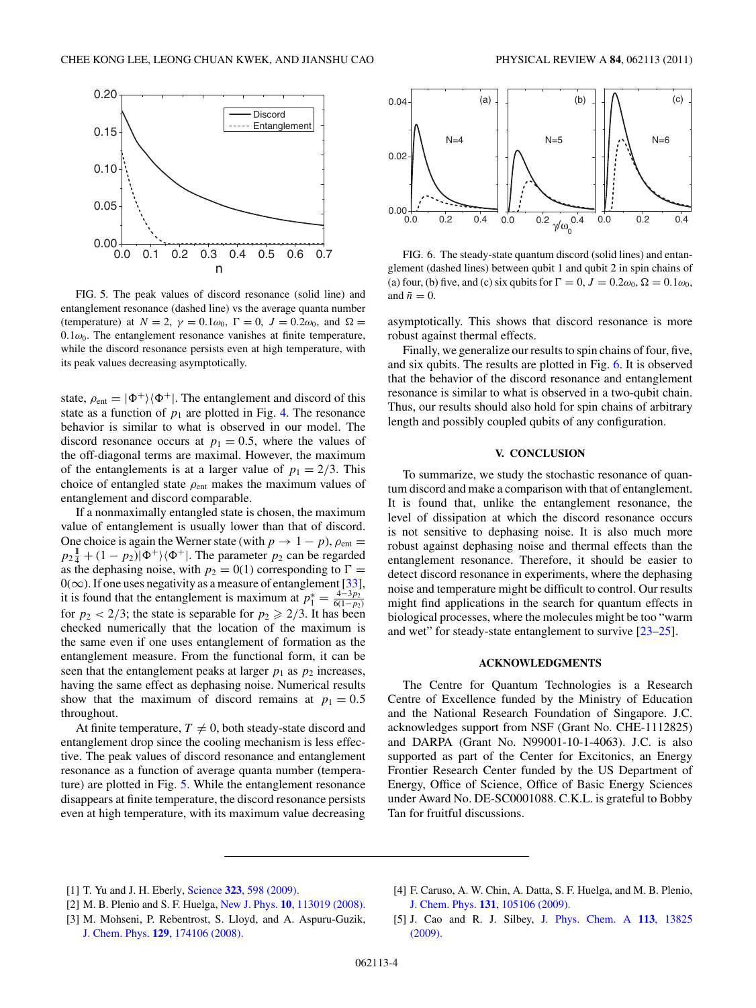<span id="page-3-0"></span>

FIG. 5. The peak values of discord resonance (solid line) and entanglement resonance (dashed line) vs the average quanta number (temperature) at  $N = 2$ ,  $\gamma = 0.1\omega_0$ ,  $\Gamma = 0$ ,  $J = 0.2\omega_0$ , and  $\Omega =$  $0.1\omega_0$ . The entanglement resonance vanishes at finite temperature, while the discord resonance persists even at high temperature, with its peak values decreasing asymptotically.

state,  $\rho_{ent} = |\Phi^+\rangle\langle\Phi^+|$ . The entanglement and discord of this state as a function of  $p_1$  are plotted in Fig. [4.](#page-2-0) The resonance behavior is similar to what is observed in our model. The discord resonance occurs at  $p_1 = 0.5$ , where the values of the off-diagonal terms are maximal. However, the maximum of the entanglements is at a larger value of  $p_1 = 2/3$ . This choice of entangled state *ρ*ent makes the maximum values of entanglement and discord comparable.

If a nonmaximally entangled state is chosen, the maximum value of entanglement is usually lower than that of discord. One choice is again the Werner state (with  $p \rightarrow 1 - p$ ),  $\rho_{ent} =$  $p_2\frac{1}{4} + (1 - p_2)|\Phi^+\rangle\langle\Phi^+|$ . The parameter  $p_2$  can be regarded as the dephasing noise, with  $p_2 = 0(1)$  corresponding to  $\Gamma =$  $0(\infty)$ . If one uses negativity as a measure of entanglement [\[33\]](#page-4-0), it is found that the entanglement is maximum at  $p_1^* = \frac{4-3p_2^*}{6(1-p_2)}$ for  $p_2 < 2/3$ ; the state is separable for  $p_2 \ge 2/3$ . It has been checked numerically that the location of the maximum is the same even if one uses entanglement of formation as the entanglement measure. From the functional form, it can be seen that the entanglement peaks at larger  $p_1$  as  $p_2$  increases, having the same effect as dephasing noise. Numerical results show that the maximum of discord remains at  $p_1 = 0.5$ throughout.

At finite temperature,  $T \neq 0$ , both steady-state discord and entanglement drop since the cooling mechanism is less effective. The peak values of discord resonance and entanglement resonance as a function of average quanta number (temperature) are plotted in Fig. 5. While the entanglement resonance disappears at finite temperature, the discord resonance persists even at high temperature, with its maximum value decreasing



FIG. 6. The steady-state quantum discord (solid lines) and entanglement (dashed lines) between qubit 1 and qubit 2 in spin chains of (a) four, (b) five, and (c) six qubits for  $\Gamma = 0$ ,  $J = 0.2\omega_0$ ,  $\Omega = 0.1\omega_0$ , and  $\bar{n}=0$ .

asymptotically. This shows that discord resonance is more robust against thermal effects.

Finally, we generalize our results to spin chains of four, five, and six qubits. The results are plotted in Fig. 6. It is observed that the behavior of the discord resonance and entanglement resonance is similar to what is observed in a two-qubit chain. Thus, our results should also hold for spin chains of arbitrary length and possibly coupled qubits of any configuration.

## **V. CONCLUSION**

To summarize, we study the stochastic resonance of quantum discord and make a comparison with that of entanglement. It is found that, unlike the entanglement resonance, the level of dissipation at which the discord resonance occurs is not sensitive to dephasing noise. It is also much more robust against dephasing noise and thermal effects than the entanglement resonance. Therefore, it should be easier to detect discord resonance in experiments, where the dephasing noise and temperature might be difficult to control. Our results might find applications in the search for quantum effects in biological processes, where the molecules might be too "warm and wet" for steady-state entanglement to survive [\[23–25\]](#page-4-0).

### **ACKNOWLEDGMENTS**

The Centre for Quantum Technologies is a Research Centre of Excellence funded by the Ministry of Education and the National Research Foundation of Singapore. J.C. acknowledges support from NSF (Grant No. CHE-1112825) and DARPA (Grant No. N99001-10-1-4063). J.C. is also supported as part of the Center for Excitonics, an Energy Frontier Research Center funded by the US Department of Energy, Office of Science, Office of Basic Energy Sciences under Award No. DE-SC0001088. C.K.L. is grateful to Bobby Tan for fruitful discussions.

- [1] T. Yu and J. H. Eberly, Science **323**[, 598 \(2009\).](http://dx.doi.org/10.1126/science.1167343)
- [2] M. B. Plenio and S. F. Huelga, New J. Phys. **10**[, 113019 \(2008\).](http://dx.doi.org/10.1088/1367-2630/10/11/113019)
- [3] M. Mohseni, P. Rebentrost, S. Lloyd, and A. Aspuru-Guzik, J. Chem. Phys. **129**[, 174106 \(2008\).](http://dx.doi.org/10.1063/1.3002335)
- [4] F. Caruso, A. W. Chin, A. Datta, S. F. Huelga, and M. B. Plenio, J. Chem. Phys. **131**[, 105106 \(2009\).](http://dx.doi.org/10.1063/1.3223548)
- [5] J. Cao and R. J. Silbey, [J. Phys. Chem. A](http://dx.doi.org/10.1021/jp9032589) **113**, 13825 [\(2009\).](http://dx.doi.org/10.1021/jp9032589)